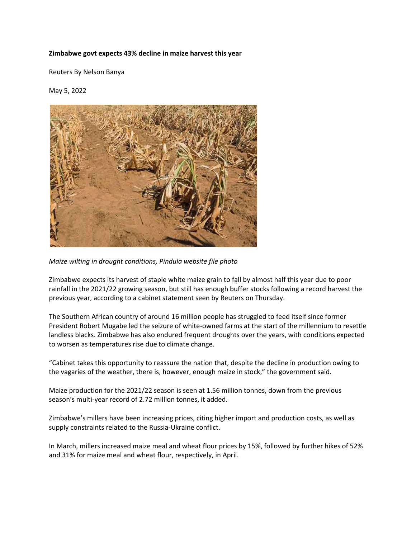## **Zimbabwe govt expects 43% decline in maize harvest this year**

Reuters By Nelson Banya

May 5, 2022



*Maize wilting in drought conditions, Pindula website file photo*

Zimbabwe expects its harvest of staple white maize grain to fall by almost half this year due to poor rainfall in the 2021/22 growing season, but still has enough buffer stocks following a record harvest the previous year, according to a cabinet statement seen by Reuters on Thursday.

The Southern African country of around 16 million people has struggled to feed itself since former President Robert Mugabe led the seizure of white-owned farms at the start of the millennium to resettle landless blacks. Zimbabwe has also endured frequent droughts over the years, with conditions expected to worsen as temperatures rise due to climate change.

"Cabinet takes this opportunity to reassure the nation that, despite the decline in production owing to the vagaries of the weather, there is, however, enough maize in stock," the government said.

Maize production for the 2021/22 season is seen at 1.56 million tonnes, down from the previous season's multi-year record of 2.72 million tonnes, it added.

Zimbabwe's millers have been increasing prices, citing higher import and production costs, as well as supply constraints related to the Russia-Ukraine conflict.

In March, millers increased maize meal and wheat flour prices by 15%, followed by further hikes of 52% and 31% for maize meal and wheat flour, respectively, in April.